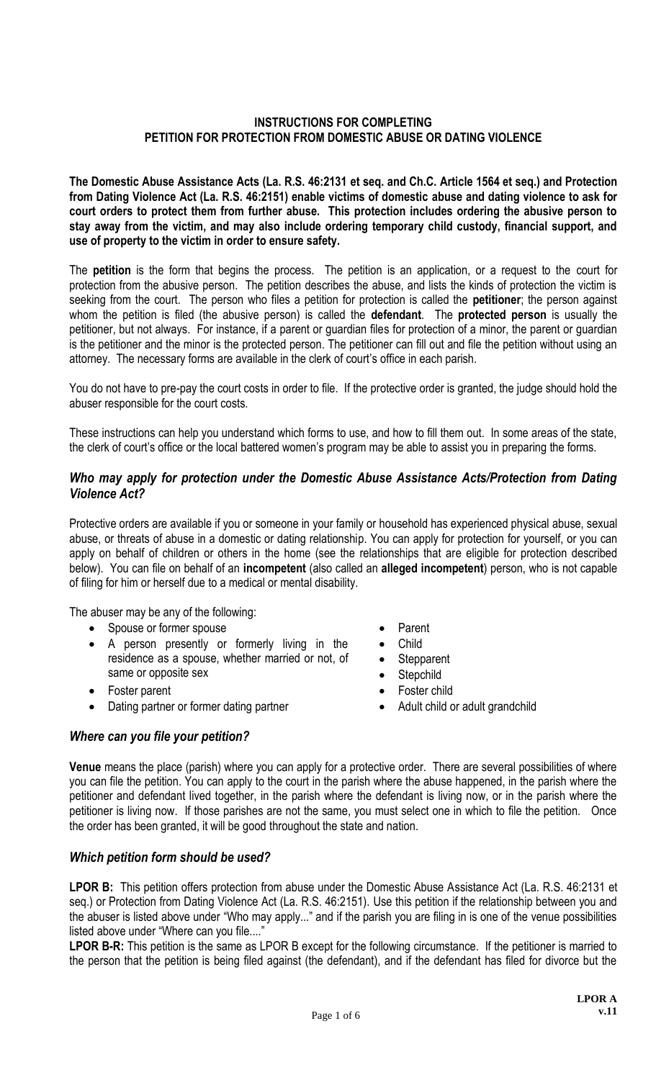## **INSTRUCTIONS FOR COMPLETING PETITION FOR PROTECTION FROM DOMESTIC ABUSE OR DATING VIOLENCE**

**The Domestic Abuse Assistance Acts (La. R.S. 46:2131 et seq. and Ch.C. Article 1564 et seq.) and Protection from Dating Violence Act (La. R.S. 46:2151) enable victims of domestic abuse and dating violence to ask for court orders to protect them from further abuse. This protection includes ordering the abusive person to stay away from the victim, and may also include ordering temporary child custody, financial support, and use of property to the victim in order to ensure safety.** 

The **petition** is the form that begins the process. The petition is an application, or a request to the court for protection from the abusive person. The petition describes the abuse, and lists the kinds of protection the victim is seeking from the court. The person who files a petition for protection is called the **petitioner**; the person against whom the petition is filed (the abusive person) is called the **defendant**. The **protected person** is usually the petitioner, but not always. For instance, if a parent or guardian files for protection of a minor, the parent or guardian is the petitioner and the minor is the protected person. The petitioner can fill out and file the petition without using an attorney. The necessary forms are available in the clerk of court's office in each parish.

You do not have to pre-pay the court costs in order to file. If the protective order is granted, the judge should hold the abuser responsible for the court costs.

These instructions can help you understand which forms to use, and how to fill them out. In some areas of the state, the clerk of court's office or the local battered women's program may be able to assist you in preparing the forms.

## *Who may apply for protection under the Domestic Abuse Assistance Acts/Protection from Dating Violence Act?*

Protective orders are available if you or someone in your family or household has experienced physical abuse, sexual abuse, or threats of abuse in a domestic or dating relationship. You can apply for protection for yourself, or you can apply on behalf of children or others in the home (see the relationships that are eligible for protection described below). You can file on behalf of an **incompetent** (also called an **alleged incompetent**) person, who is not capable of filing for him or herself due to a medical or mental disability.

The abuser may be any of the following:

- Spouse or former spouse **Parent**
- A person presently or formerly living in the residence as a spouse, whether married or not, of same or opposite sex
- Foster parent **Foster child**
- Dating partner or former dating partner **ADULT COVERG** Adult child or adult grandchild

# *Where can you file your petition?*

- 
- Child
- Stepparent
- Stepchild
- 
- 

**Venue** means the place (parish) where you can apply for a protective order. There are several possibilities of where you can file the petition. You can apply to the court in the parish where the abuse happened, in the parish where the petitioner and defendant lived together, in the parish where the defendant is living now, or in the parish where the petitioner is living now. If those parishes are not the same, you must select one in which to file the petition. Once the order has been granted, it will be good throughout the state and nation.

# *Which petition form should be used?*

**LPOR B:** This petition offers protection from abuse under the Domestic Abuse Assistance Act (La. R.S. 46:2131 et seq.) or Protection from Dating Violence Act (La. R.S. 46:2151). Use this petition if the relationship between you and the abuser is listed above under "Who may apply..." and if the parish you are filing in is one of the venue possibilities listed above under "Where can you file...."

**LPOR B-R:** This petition is the same as LPOR B except for the following circumstance. If the petitioner is married to the person that the petition is being filed against (the defendant), and if the defendant has filed for divorce but the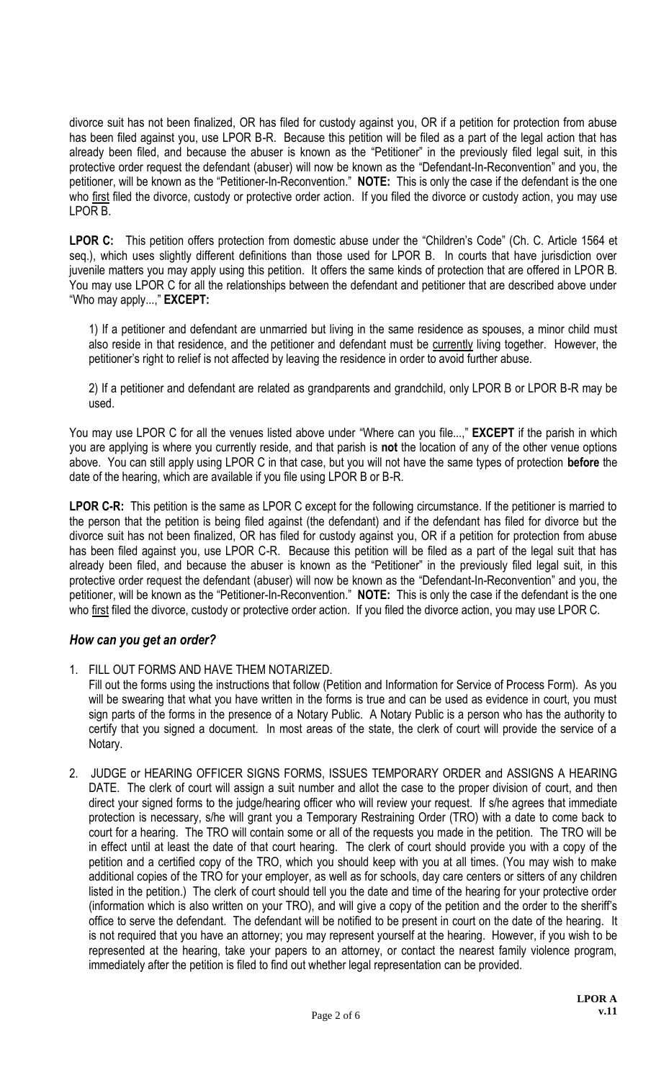divorce suit has not been finalized, OR has filed for custody against you, OR if a petition for protection from abuse has been filed against you, use LPOR B-R. Because this petition will be filed as a part of the legal action that has already been filed, and because the abuser is known as the "Petitioner" in the previously filed legal suit, in this protective order request the defendant (abuser) will now be known as the "Defendant-In-Reconvention" and you, the petitioner, will be known as the "Petitioner-In-Reconvention." **NOTE:** This is only the case if the defendant is the one who first filed the divorce, custody or protective order action. If you filed the divorce or custody action, you may use LPOR B.

**LPOR C:** This petition offers protection from domestic abuse under the "Children's Code" (Ch. C. Article 1564 et seq.), which uses slightly different definitions than those used for LPOR B. In courts that have jurisdiction over juvenile matters you may apply using this petition. It offers the same kinds of protection that are offered in LPOR B. You may use LPOR C for all the relationships between the defendant and petitioner that are described above under "Who may apply...," **EXCEPT:**

1) If a petitioner and defendant are unmarried but living in the same residence as spouses, a minor child must also reside in that residence, and the petitioner and defendant must be currently living together. However, the petitioner's right to relief is not affected by leaving the residence in order to avoid further abuse.

2) If a petitioner and defendant are related as grandparents and grandchild, only LPOR B or LPOR B-R may be used.

You may use LPOR C for all the venues listed above under "Where can you file...," **EXCEPT** if the parish in which you are applying is where you currently reside, and that parish is **not** the location of any of the other venue options above. You can still apply using LPOR C in that case, but you will not have the same types of protection **before** the date of the hearing, which are available if you file using LPOR B or B-R.

**LPOR C-R:** This petition is the same as LPOR C except for the following circumstance. If the petitioner is married to the person that the petition is being filed against (the defendant) and if the defendant has filed for divorce but the divorce suit has not been finalized, OR has filed for custody against you, OR if a petition for protection from abuse has been filed against you, use LPOR C-R. Because this petition will be filed as a part of the legal suit that has already been filed, and because the abuser is known as the "Petitioner" in the previously filed legal suit, in this protective order request the defendant (abuser) will now be known as the "Defendant-In-Reconvention" and you, the petitioner, will be known as the "Petitioner-In-Reconvention." **NOTE:** This is only the case if the defendant is the one who first filed the divorce, custody or protective order action. If you filed the divorce action, you may use LPOR C.

# *How can you get an order?*

1. FILL OUT FORMS AND HAVE THEM NOTARIZED.

Fill out the forms using the instructions that follow (Petition and Information for Service of Process Form). As you will be swearing that what you have written in the forms is true and can be used as evidence in court, you must sign parts of the forms in the presence of a Notary Public. A Notary Public is a person who has the authority to certify that you signed a document. In most areas of the state, the clerk of court will provide the service of a Notary.

2. JUDGE or HEARING OFFICER SIGNS FORMS, ISSUES TEMPORARY ORDER and ASSIGNS A HEARING DATE. The clerk of court will assign a suit number and allot the case to the proper division of court, and then direct your signed forms to the judge/hearing officer who will review your request. If s/he agrees that immediate protection is necessary, s/he will grant you a Temporary Restraining Order (TRO) with a date to come back to court for a hearing. The TRO will contain some or all of the requests you made in the petition. The TRO will be in effect until at least the date of that court hearing. The clerk of court should provide you with a copy of the petition and a certified copy of the TRO, which you should keep with you at all times. (You may wish to make additional copies of the TRO for your employer, as well as for schools, day care centers or sitters of any children listed in the petition.) The clerk of court should tell you the date and time of the hearing for your protective order (information which is also written on your TRO), and will give a copy of the petition and the order to the sheriff's office to serve the defendant. The defendant will be notified to be present in court on the date of the hearing. It is not required that you have an attorney; you may represent yourself at the hearing. However, if you wish to be represented at the hearing, take your papers to an attorney, or contact the nearest family violence program, immediately after the petition is filed to find out whether legal representation can be provided.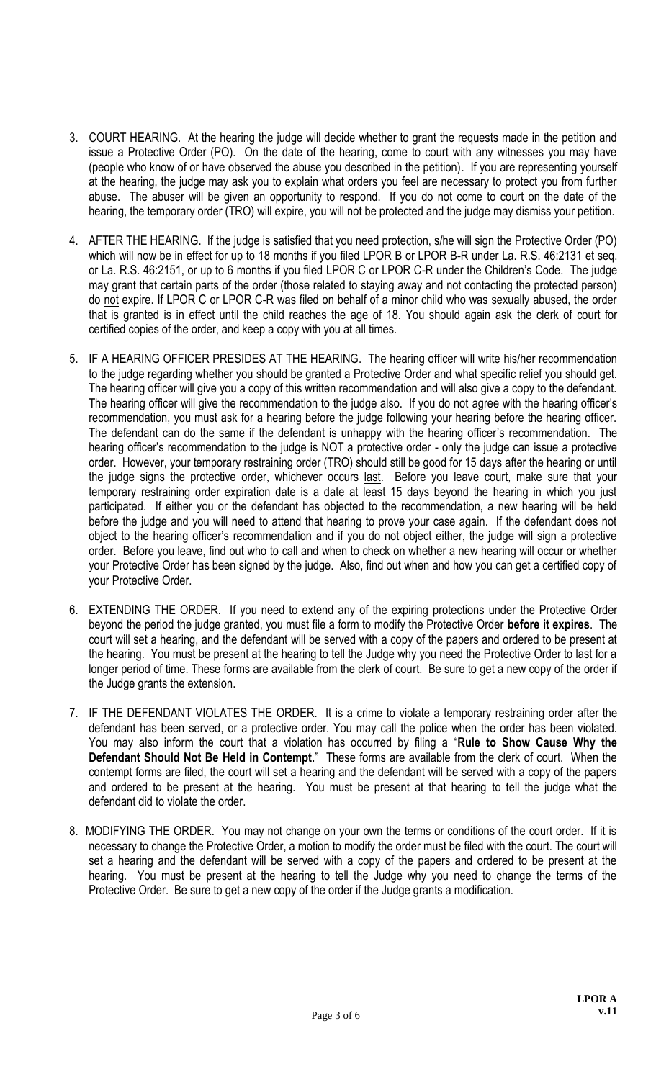- 3. COURT HEARING. At the hearing the judge will decide whether to grant the requests made in the petition and issue a Protective Order (PO). On the date of the hearing, come to court with any witnesses you may have (people who know of or have observed the abuse you described in the petition). If you are representing yourself at the hearing, the judge may ask you to explain what orders you feel are necessary to protect you from further abuse. The abuser will be given an opportunity to respond. If you do not come to court on the date of the hearing, the temporary order (TRO) will expire, you will not be protected and the judge may dismiss your petition.
- 4. AFTER THE HEARING. If the judge is satisfied that you need protection, s/he will sign the Protective Order (PO) which will now be in effect for up to 18 months if you filed LPOR B or LPOR B-R under La. R.S. 46:2131 et seq. or La. R.S. 46:2151, or up to 6 months if you filed LPOR C or LPOR C-R under the Children's Code. The judge may grant that certain parts of the order (those related to staying away and not contacting the protected person) do not expire. If LPOR C or LPOR C-R was filed on behalf of a minor child who was sexually abused, the order that is granted is in effect until the child reaches the age of 18. You should again ask the clerk of court for certified copies of the order, and keep a copy with you at all times.
- 5. IF A HEARING OFFICER PRESIDES AT THE HEARING. The hearing officer will write his/her recommendation to the judge regarding whether you should be granted a Protective Order and what specific relief you should get. The hearing officer will give you a copy of this written recommendation and will also give a copy to the defendant. The hearing officer will give the recommendation to the judge also. If you do not agree with the hearing officer's recommendation, you must ask for a hearing before the judge following your hearing before the hearing officer. The defendant can do the same if the defendant is unhappy with the hearing officer's recommendation. The hearing officer's recommendation to the judge is NOT a protective order - only the judge can issue a protective order. However, your temporary restraining order (TRO) should still be good for 15 days after the hearing or until the judge signs the protective order, whichever occurs last. Before you leave court, make sure that your temporary restraining order expiration date is a date at least 15 days beyond the hearing in which you just participated. If either you or the defendant has objected to the recommendation, a new hearing will be held before the judge and you will need to attend that hearing to prove your case again. If the defendant does not object to the hearing officer's recommendation and if you do not object either, the judge will sign a protective order. Before you leave, find out who to call and when to check on whether a new hearing will occur or whether your Protective Order has been signed by the judge. Also, find out when and how you can get a certified copy of your Protective Order.
- 6. EXTENDING THE ORDER. If you need to extend any of the expiring protections under the Protective Order beyond the period the judge granted, you must file a form to modify the Protective Order **before it expires**. The court will set a hearing, and the defendant will be served with a copy of the papers and ordered to be present at the hearing. You must be present at the hearing to tell the Judge why you need the Protective Order to last for a longer period of time. These forms are available from the clerk of court. Be sure to get a new copy of the order if the Judge grants the extension.
- 7. IF THE DEFENDANT VIOLATES THE ORDER. It is a crime to violate a temporary restraining order after the defendant has been served, or a protective order. You may call the police when the order has been violated. You may also inform the court that a violation has occurred by filing a "**Rule to Show Cause Why the Defendant Should Not Be Held in Contempt.**" These forms are available from the clerk of court. When the contempt forms are filed, the court will set a hearing and the defendant will be served with a copy of the papers and ordered to be present at the hearing. You must be present at that hearing to tell the judge what the defendant did to violate the order.
- 8. MODIFYING THE ORDER. You may not change on your own the terms or conditions of the court order. If it is necessary to change the Protective Order, a motion to modify the order must be filed with the court. The court will set a hearing and the defendant will be served with a copy of the papers and ordered to be present at the hearing. You must be present at the hearing to tell the Judge why you need to change the terms of the Protective Order. Be sure to get a new copy of the order if the Judge grants a modification.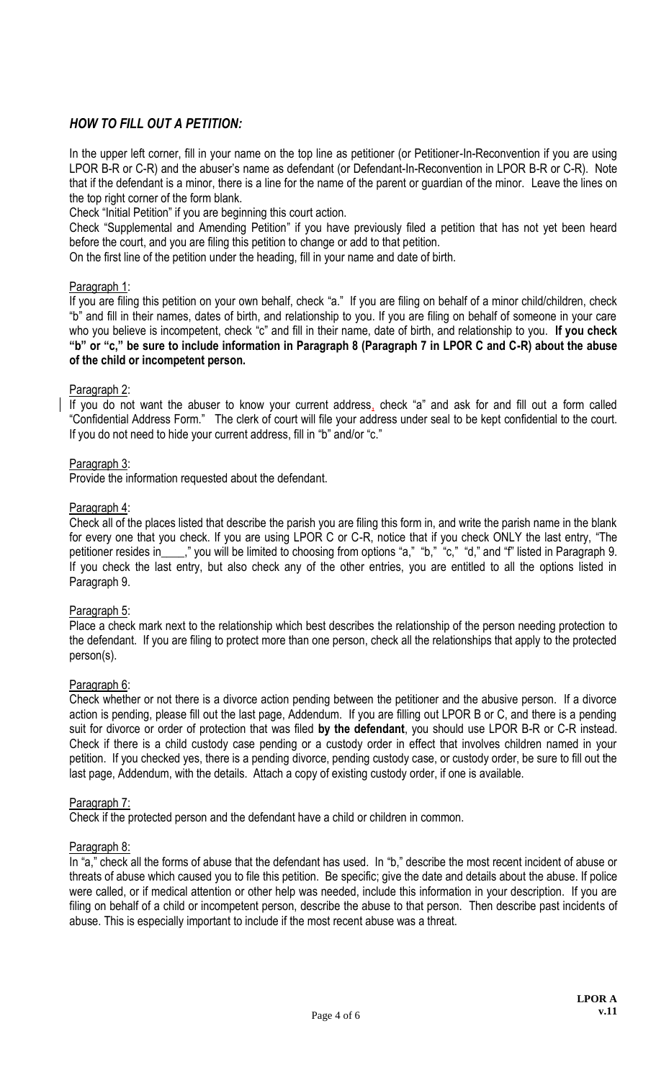# *HOW TO FILL OUT A PETITION:*

In the upper left corner, fill in your name on the top line as petitioner (or Petitioner-In-Reconvention if you are using LPOR B-R or C-R) and the abuser's name as defendant (or Defendant-In-Reconvention in LPOR B-R or C-R). Note that if the defendant is a minor, there is a line for the name of the parent or guardian of the minor. Leave the lines on the top right corner of the form blank.

Check "Initial Petition" if you are beginning this court action.

Check "Supplemental and Amending Petition" if you have previously filed a petition that has not yet been heard before the court, and you are filing this petition to change or add to that petition.

On the first line of the petition under the heading, fill in your name and date of birth.

## Paragraph 1:

If you are filing this petition on your own behalf, check "a." If you are filing on behalf of a minor child/children, check "b" and fill in their names, dates of birth, and relationship to you. If you are filing on behalf of someone in your care who you believe is incompetent, check "c" and fill in their name, date of birth, and relationship to you. **If you check "b" or "c," be sure to include information in Paragraph 8 (Paragraph 7 in LPOR C and C-R) about the abuse of the child or incompetent person.** 

## Paragraph 2:

If you do not want the abuser to know your current address, check "a" and ask for and fill out a form called "Confidential Address Form." The clerk of court will file your address under seal to be kept confidential to the court. If you do not need to hide your current address, fill in "b" and/or "c."

## Paragraph 3:

Provide the information requested about the defendant.

## Paragraph 4:

Check all of the places listed that describe the parish you are filing this form in, and write the parish name in the blank for every one that you check. If you are using LPOR C or C-R, notice that if you check ONLY the last entry, "The petitioner resides in\_\_\_," you will be limited to choosing from options "a," "b," "c," "d," and "f" listed in Paragraph 9. If you check the last entry, but also check any of the other entries, you are entitled to all the options listed in Paragraph 9.

#### Paragraph 5:

Place a check mark next to the relationship which best describes the relationship of the person needing protection to the defendant. If you are filing to protect more than one person, check all the relationships that apply to the protected person(s).

#### Paragraph 6:

Check whether or not there is a divorce action pending between the petitioner and the abusive person. If a divorce action is pending, please fill out the last page, Addendum. If you are filling out LPOR B or C, and there is a pending suit for divorce or order of protection that was filed **by the defendant**, you should use LPOR B-R or C-R instead. Check if there is a child custody case pending or a custody order in effect that involves children named in your petition. If you checked yes, there is a pending divorce, pending custody case, or custody order, be sure to fill out the last page, Addendum, with the details. Attach a copy of existing custody order, if one is available.

#### Paragraph 7:

Check if the protected person and the defendant have a child or children in common.

#### Paragraph 8:

In "a," check all the forms of abuse that the defendant has used. In "b," describe the most recent incident of abuse or threats of abuse which caused you to file this petition. Be specific; give the date and details about the abuse. If police were called, or if medical attention or other help was needed, include this information in your description. If you are filing on behalf of a child or incompetent person, describe the abuse to that person. Then describe past incidents of abuse. This is especially important to include if the most recent abuse was a threat.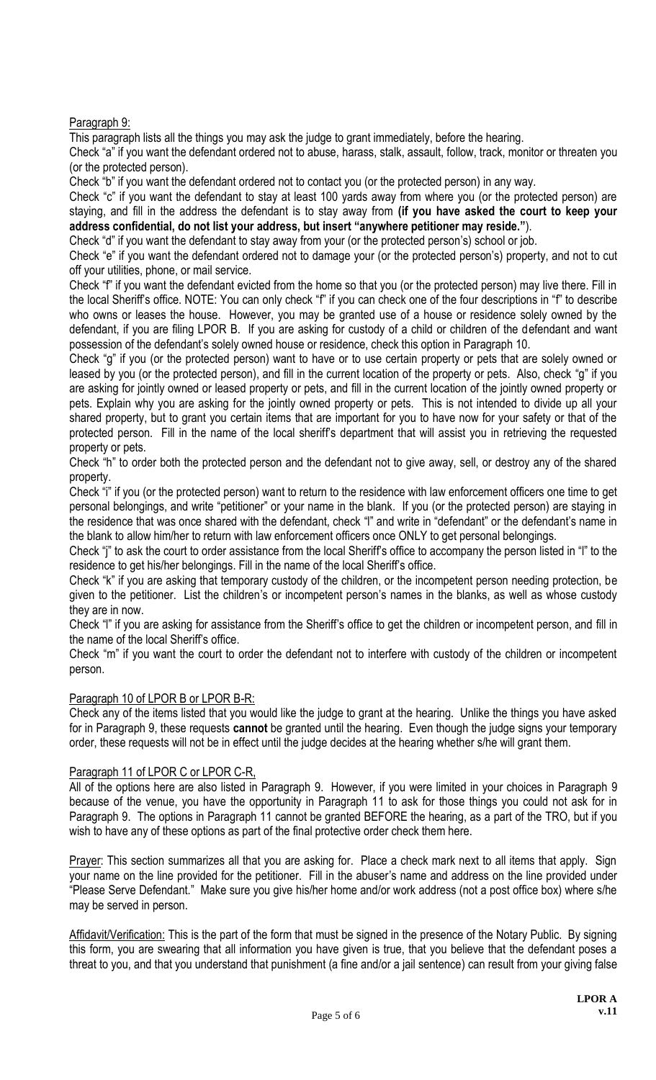# Paragraph 9:

This paragraph lists all the things you may ask the judge to grant immediately, before the hearing.

Check "a" if you want the defendant ordered not to abuse, harass, stalk, assault, follow, track, monitor or threaten you (or the protected person).

Check "b" if you want the defendant ordered not to contact you (or the protected person) in any way.

Check "c" if you want the defendant to stay at least 100 yards away from where you (or the protected person) are staying, and fill in the address the defendant is to stay away from **(if you have asked the court to keep your address confidential, do not list your address, but insert "anywhere petitioner may reside."**).

Check "d" if you want the defendant to stay away from your (or the protected person's) school or job.

Check "e" if you want the defendant ordered not to damage your (or the protected person's) property, and not to cut off your utilities, phone, or mail service.

Check "f" if you want the defendant evicted from the home so that you (or the protected person) may live there. Fill in the local Sheriff's office. NOTE: You can only check "f" if you can check one of the four descriptions in "f" to describe who owns or leases the house. However, you may be granted use of a house or residence solely owned by the defendant, if you are filing LPOR B. If you are asking for custody of a child or children of the defendant and want possession of the defendant's solely owned house or residence, check this option in Paragraph 10.

Check "g" if you (or the protected person) want to have or to use certain property or pets that are solely owned or leased by you (or the protected person), and fill in the current location of the property or pets. Also, check "g" if you are asking for jointly owned or leased property or pets, and fill in the current location of the jointly owned property or pets. Explain why you are asking for the jointly owned property or pets. This is not intended to divide up all your shared property, but to grant you certain items that are important for you to have now for your safety or that of the protected person. Fill in the name of the local sheriff's department that will assist you in retrieving the requested property or pets.

Check "h" to order both the protected person and the defendant not to give away, sell, or destroy any of the shared property.

Check "i" if you (or the protected person) want to return to the residence with law enforcement officers one time to get personal belongings, and write "petitioner" or your name in the blank. If you (or the protected person) are staying in the residence that was once shared with the defendant, check "l" and write in "defendant" or the defendant's name in the blank to allow him/her to return with law enforcement officers once ONLY to get personal belongings.

Check "j" to ask the court to order assistance from the local Sheriff's office to accompany the person listed in "l" to the residence to get his/her belongings. Fill in the name of the local Sheriff's office.

Check "k" if you are asking that temporary custody of the children, or the incompetent person needing protection, be given to the petitioner. List the children's or incompetent person's names in the blanks, as well as whose custody they are in now.

Check "l" if you are asking for assistance from the Sheriff's office to get the children or incompetent person, and fill in the name of the local Sheriff's office.

Check "m" if you want the court to order the defendant not to interfere with custody of the children or incompetent person.

# Paragraph 10 of LPOR B or LPOR B-R:

Check any of the items listed that you would like the judge to grant at the hearing. Unlike the things you have asked for in Paragraph 9, these requests **cannot** be granted until the hearing. Even though the judge signs your temporary order, these requests will not be in effect until the judge decides at the hearing whether s/he will grant them.

# Paragraph 11 of LPOR C or LPOR C-R,

All of the options here are also listed in Paragraph 9. However, if you were limited in your choices in Paragraph 9 because of the venue, you have the opportunity in Paragraph 11 to ask for those things you could not ask for in Paragraph 9. The options in Paragraph 11 cannot be granted BEFORE the hearing, as a part of the TRO, but if you wish to have any of these options as part of the final protective order check them here.

Prayer: This section summarizes all that you are asking for. Place a check mark next to all items that apply. Sign your name on the line provided for the petitioner. Fill in the abuser's name and address on the line provided under "Please Serve Defendant." Make sure you give his/her home and/or work address (not a post office box) where s/he may be served in person.

Affidavit/Verification: This is the part of the form that must be signed in the presence of the Notary Public. By signing this form, you are swearing that all information you have given is true, that you believe that the defendant poses a threat to you, and that you understand that punishment (a fine and/or a jail sentence) can result from your giving false